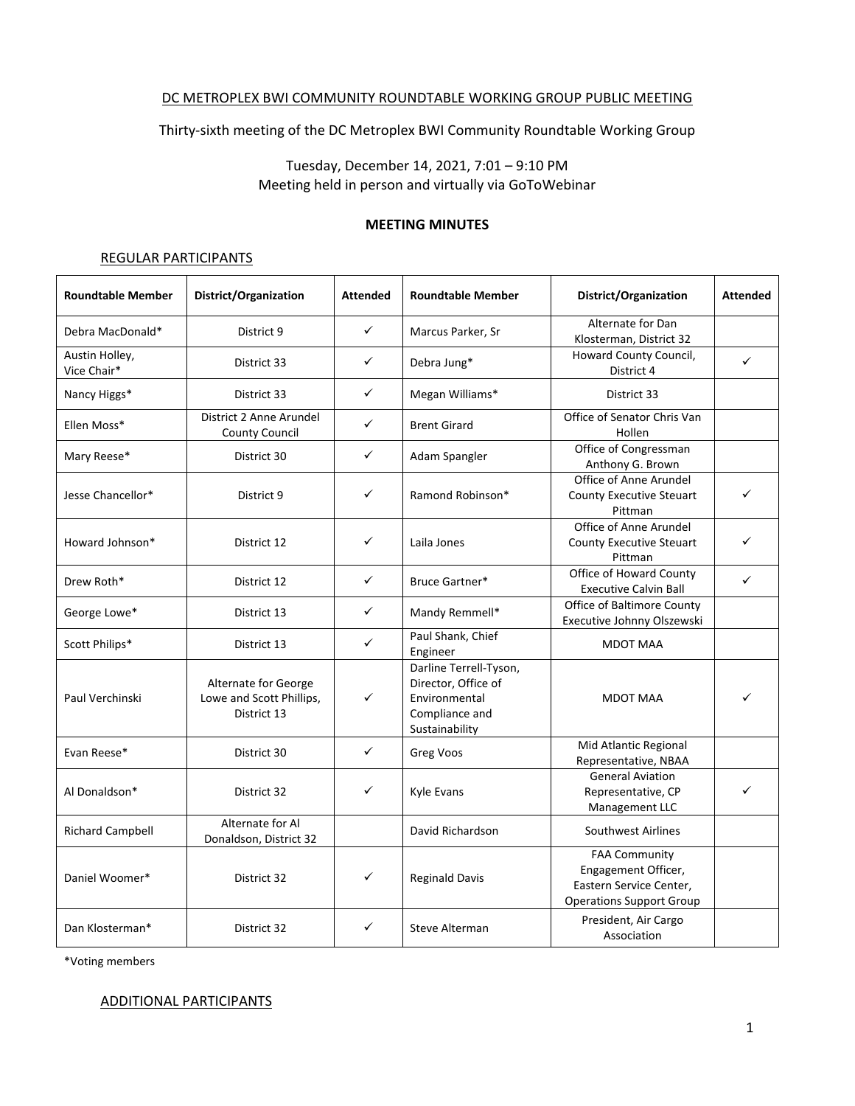#### DC METROPLEX BWI COMMUNITY ROUNDTABLE WORKING GROUP PUBLIC MEETING

Thirty-sixth meeting of the DC Metroplex BWI Community Roundtable Working Group

Tuesday, December 14, 2021, 7:01 – 9:10 PM Meeting held in person and virtually via GoToWebinar

#### **MEETING MINUTES**

#### REGULAR PARTICIPANTS

| <b>Roundtable Member</b>      | District/Organization                                           | <b>Attended</b> | <b>Roundtable Member</b>                                                                           | District/Organization                                                                                     | <b>Attended</b> |
|-------------------------------|-----------------------------------------------------------------|-----------------|----------------------------------------------------------------------------------------------------|-----------------------------------------------------------------------------------------------------------|-----------------|
| Debra MacDonald*              | District 9                                                      | $\checkmark$    | Marcus Parker, Sr                                                                                  | Alternate for Dan<br>Klosterman, District 32                                                              |                 |
| Austin Holley,<br>Vice Chair* | District 33                                                     | ✓               | Debra Jung*                                                                                        | Howard County Council,<br>District 4                                                                      | ✓               |
| Nancy Higgs*                  | District 33                                                     | ✓               | Megan Williams*                                                                                    | District 33                                                                                               |                 |
| Ellen Moss*                   | District 2 Anne Arundel<br><b>County Council</b>                | $\checkmark$    | <b>Brent Girard</b>                                                                                | Office of Senator Chris Van<br>Hollen                                                                     |                 |
| Mary Reese*                   | District 30                                                     | ✓               | Adam Spangler                                                                                      | Office of Congressman<br>Anthony G. Brown                                                                 |                 |
| Jesse Chancellor*             | District 9                                                      | ✓               | Ramond Robinson*                                                                                   | Office of Anne Arundel<br><b>County Executive Steuart</b><br>Pittman                                      | ✓               |
| Howard Johnson*               | District 12                                                     | ✓               | Laila Jones                                                                                        | Office of Anne Arundel<br><b>County Executive Steuart</b><br>Pittman                                      | ✓               |
| Drew Roth*                    | District 12                                                     | ✓               | Bruce Gartner*                                                                                     | Office of Howard County<br><b>Executive Calvin Ball</b>                                                   | $\checkmark$    |
| George Lowe*                  | District 13                                                     | ✓               | Mandy Remmell*                                                                                     | <b>Office of Baltimore County</b><br>Executive Johnny Olszewski                                           |                 |
| Scott Philips*                | District 13                                                     | ✓               | Paul Shank, Chief<br>Engineer                                                                      | <b>MDOT MAA</b>                                                                                           |                 |
| Paul Verchinski               | Alternate for George<br>Lowe and Scott Phillips,<br>District 13 | ✓               | Darline Terrell-Tyson,<br>Director, Office of<br>Environmental<br>Compliance and<br>Sustainability | <b>MDOT MAA</b>                                                                                           |                 |
| Evan Reese*                   | District 30                                                     | ✓               | Greg Voos                                                                                          | Mid Atlantic Regional<br>Representative, NBAA                                                             |                 |
| Al Donaldson*                 | District 32                                                     | ✓               | Kyle Evans                                                                                         | <b>General Aviation</b><br>Representative, CP<br>Management LLC                                           | ✓               |
| <b>Richard Campbell</b>       | Alternate for Al<br>Donaldson, District 32                      |                 | David Richardson                                                                                   | Southwest Airlines                                                                                        |                 |
| Daniel Woomer*                | District 32                                                     | ✓               | <b>Reginald Davis</b>                                                                              | <b>FAA Community</b><br>Engagement Officer,<br>Eastern Service Center,<br><b>Operations Support Group</b> |                 |
| Dan Klosterman*               | District 32                                                     | ✓               | Steve Alterman                                                                                     | President, Air Cargo<br>Association                                                                       |                 |

\*Voting members

ADDITIONAL PARTICIPANTS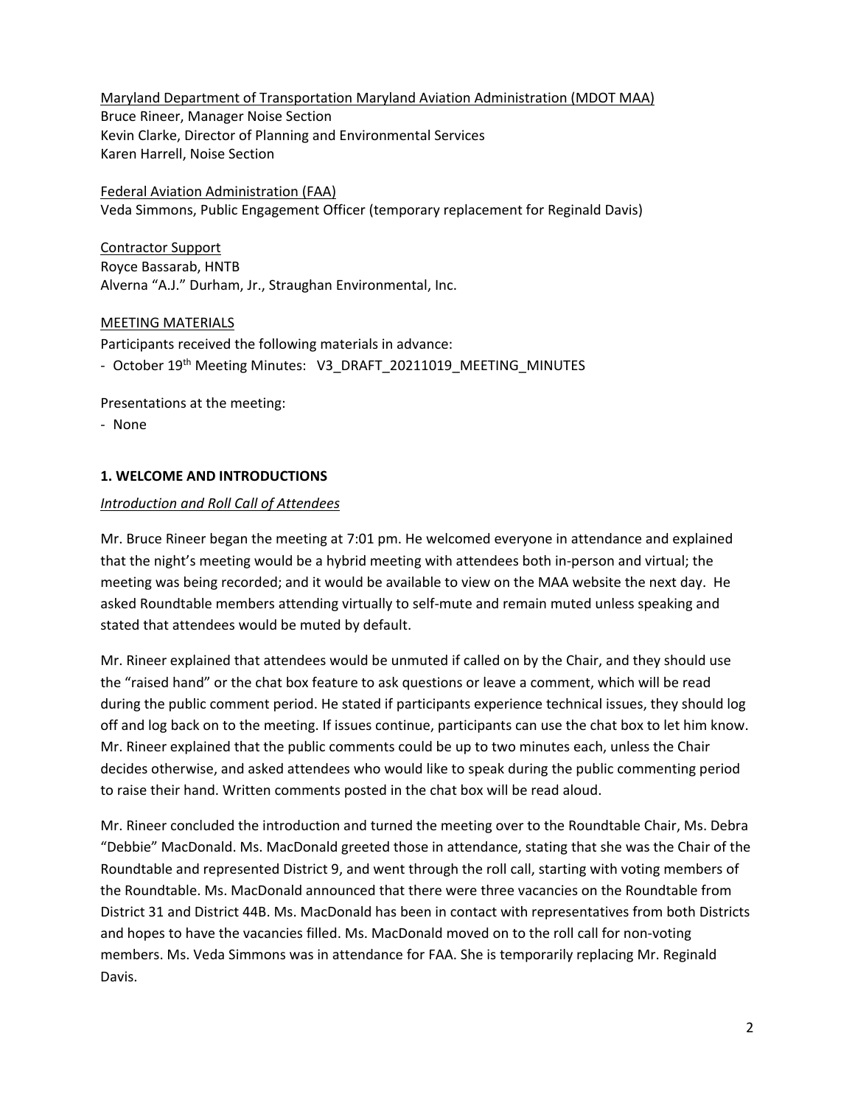Maryland Department of Transportation Maryland Aviation Administration (MDOT MAA) Bruce Rineer, Manager Noise Section Kevin Clarke, Director of Planning and Environmental Services Karen Harrell, Noise Section

Federal Aviation Administration (FAA) Veda Simmons, Public Engagement Officer (temporary replacement for Reginald Davis)

Contractor Support Royce Bassarab, HNTB Alverna "A.J." Durham, Jr., Straughan Environmental, Inc.

#### MEETING MATERIALS

Participants received the following materials in advance:

- October 19<sup>th</sup> Meeting Minutes: V3\_DRAFT\_20211019\_MEETING\_MINUTES

Presentations at the meeting:

- None

## **1. WELCOME AND INTRODUCTIONS**

## *Introduction and Roll Call of Attendees*

Mr. Bruce Rineer began the meeting at 7:01 pm. He welcomed everyone in attendance and explained that the night's meeting would be a hybrid meeting with attendees both in-person and virtual; the meeting was being recorded; and it would be available to view on the MAA website the next day. He asked Roundtable members attending virtually to self-mute and remain muted unless speaking and stated that attendees would be muted by default.

Mr. Rineer explained that attendees would be unmuted if called on by the Chair, and they should use the "raised hand" or the chat box feature to ask questions or leave a comment, which will be read during the public comment period. He stated if participants experience technical issues, they should log off and log back on to the meeting. If issues continue, participants can use the chat box to let him know. Mr. Rineer explained that the public comments could be up to two minutes each, unless the Chair decides otherwise, and asked attendees who would like to speak during the public commenting period to raise their hand. Written comments posted in the chat box will be read aloud.

Mr. Rineer concluded the introduction and turned the meeting over to the Roundtable Chair, Ms. Debra "Debbie" MacDonald. Ms. MacDonald greeted those in attendance, stating that she was the Chair of the Roundtable and represented District 9, and went through the roll call, starting with voting members of the Roundtable. Ms. MacDonald announced that there were three vacancies on the Roundtable from District 31 and District 44B. Ms. MacDonald has been in contact with representatives from both Districts and hopes to have the vacancies filled. Ms. MacDonald moved on to the roll call for non-voting members. Ms. Veda Simmons was in attendance for FAA. She is temporarily replacing Mr. Reginald Davis.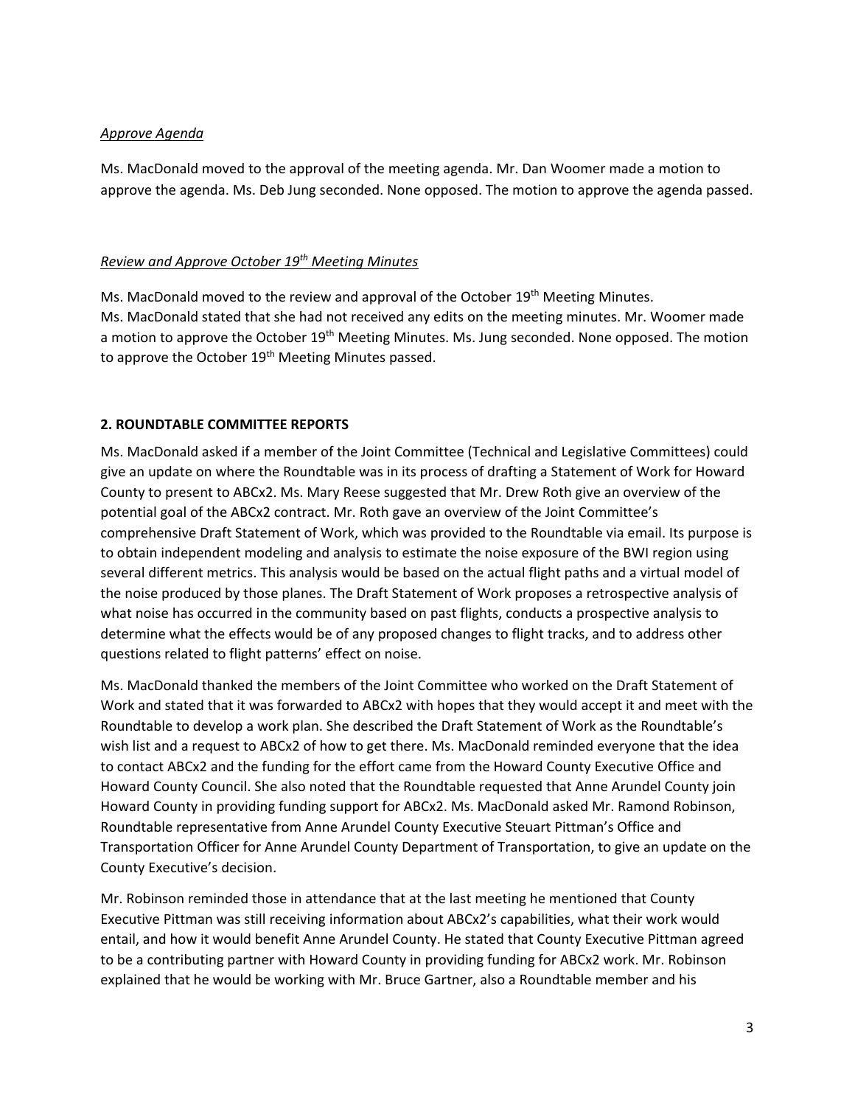### *Approve Agenda*

Ms. MacDonald moved to the approval of the meeting agenda. Mr. Dan Woomer made a motion to approve the agenda. Ms. Deb Jung seconded. None opposed. The motion to approve the agenda passed.

## *Review and Approve October 19th Meeting Minutes*

Ms. MacDonald moved to the review and approval of the October 19<sup>th</sup> Meeting Minutes. Ms. MacDonald stated that she had not received any edits on the meeting minutes. Mr. Woomer made a motion to approve the October 19<sup>th</sup> Meeting Minutes. Ms. Jung seconded. None opposed. The motion to approve the October 19<sup>th</sup> Meeting Minutes passed.

## **2. ROUNDTABLE COMMITTEE REPORTS**

Ms. MacDonald asked if a member of the Joint Committee (Technical and Legislative Committees) could give an update on where the Roundtable was in its process of drafting a Statement of Work for Howard County to present to ABCx2. Ms. Mary Reese suggested that Mr. Drew Roth give an overview of the potential goal of the ABCx2 contract. Mr. Roth gave an overview of the Joint Committee's comprehensive Draft Statement of Work, which was provided to the Roundtable via email. Its purpose is to obtain independent modeling and analysis to estimate the noise exposure of the BWI region using several different metrics. This analysis would be based on the actual flight paths and a virtual model of the noise produced by those planes. The Draft Statement of Work proposes a retrospective analysis of what noise has occurred in the community based on past flights, conducts a prospective analysis to determine what the effects would be of any proposed changes to flight tracks, and to address other questions related to flight patterns' effect on noise.

Ms. MacDonald thanked the members of the Joint Committee who worked on the Draft Statement of Work and stated that it was forwarded to ABCx2 with hopes that they would accept it and meet with the Roundtable to develop a work plan. She described the Draft Statement of Work as the Roundtable's wish list and a request to ABCx2 of how to get there. Ms. MacDonald reminded everyone that the idea to contact ABCx2 and the funding for the effort came from the Howard County Executive Office and Howard County Council. She also noted that the Roundtable requested that Anne Arundel County join Howard County in providing funding support for ABCx2. Ms. MacDonald asked Mr. Ramond Robinson, Roundtable representative from Anne Arundel County Executive Steuart Pittman's Office and Transportation Officer for Anne Arundel County Department of Transportation, to give an update on the County Executive's decision.

Mr. Robinson reminded those in attendance that at the last meeting he mentioned that County Executive Pittman was still receiving information about ABCx2's capabilities, what their work would entail, and how it would benefit Anne Arundel County. He stated that County Executive Pittman agreed to be a contributing partner with Howard County in providing funding for ABCx2 work. Mr. Robinson explained that he would be working with Mr. Bruce Gartner, also a Roundtable member and his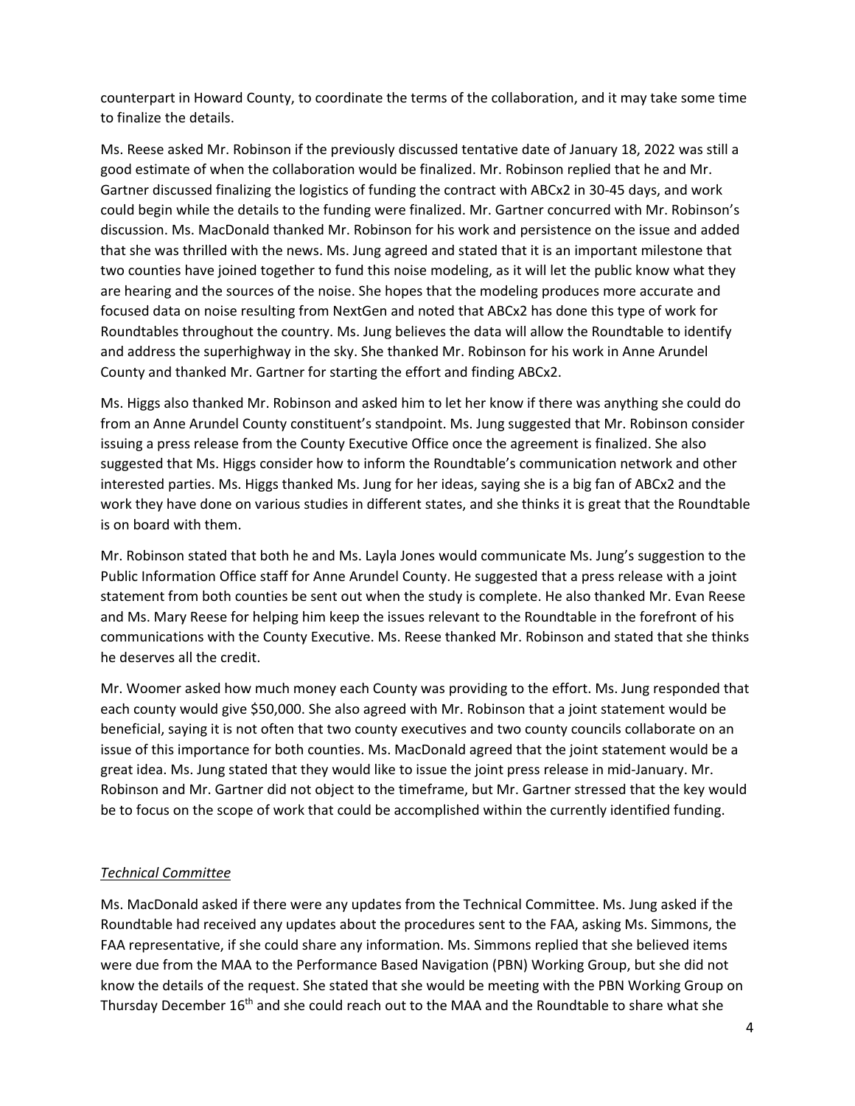counterpart in Howard County, to coordinate the terms of the collaboration, and it may take some time to finalize the details.

Ms. Reese asked Mr. Robinson if the previously discussed tentative date of January 18, 2022 was still a good estimate of when the collaboration would be finalized. Mr. Robinson replied that he and Mr. Gartner discussed finalizing the logistics of funding the contract with ABCx2 in 30-45 days, and work could begin while the details to the funding were finalized. Mr. Gartner concurred with Mr. Robinson's discussion. Ms. MacDonald thanked Mr. Robinson for his work and persistence on the issue and added that she was thrilled with the news. Ms. Jung agreed and stated that it is an important milestone that two counties have joined together to fund this noise modeling, as it will let the public know what they are hearing and the sources of the noise. She hopes that the modeling produces more accurate and focused data on noise resulting from NextGen and noted that ABCx2 has done this type of work for Roundtables throughout the country. Ms. Jung believes the data will allow the Roundtable to identify and address the superhighway in the sky. She thanked Mr. Robinson for his work in Anne Arundel County and thanked Mr. Gartner for starting the effort and finding ABCx2.

Ms. Higgs also thanked Mr. Robinson and asked him to let her know if there was anything she could do from an Anne Arundel County constituent's standpoint. Ms. Jung suggested that Mr. Robinson consider issuing a press release from the County Executive Office once the agreement is finalized. She also suggested that Ms. Higgs consider how to inform the Roundtable's communication network and other interested parties. Ms. Higgs thanked Ms. Jung for her ideas, saying she is a big fan of ABCx2 and the work they have done on various studies in different states, and she thinks it is great that the Roundtable is on board with them.

Mr. Robinson stated that both he and Ms. Layla Jones would communicate Ms. Jung's suggestion to the Public Information Office staff for Anne Arundel County. He suggested that a press release with a joint statement from both counties be sent out when the study is complete. He also thanked Mr. Evan Reese and Ms. Mary Reese for helping him keep the issues relevant to the Roundtable in the forefront of his communications with the County Executive. Ms. Reese thanked Mr. Robinson and stated that she thinks he deserves all the credit.

Mr. Woomer asked how much money each County was providing to the effort. Ms. Jung responded that each county would give \$50,000. She also agreed with Mr. Robinson that a joint statement would be beneficial, saying it is not often that two county executives and two county councils collaborate on an issue of this importance for both counties. Ms. MacDonald agreed that the joint statement would be a great idea. Ms. Jung stated that they would like to issue the joint press release in mid-January. Mr. Robinson and Mr. Gartner did not object to the timeframe, but Mr. Gartner stressed that the key would be to focus on the scope of work that could be accomplished within the currently identified funding.

# *Technical Committee*

Ms. MacDonald asked if there were any updates from the Technical Committee. Ms. Jung asked if the Roundtable had received any updates about the procedures sent to the FAA, asking Ms. Simmons, the FAA representative, if she could share any information. Ms. Simmons replied that she believed items were due from the MAA to the Performance Based Navigation (PBN) Working Group, but she did not know the details of the request. She stated that she would be meeting with the PBN Working Group on Thursday December 16th and she could reach out to the MAA and the Roundtable to share what she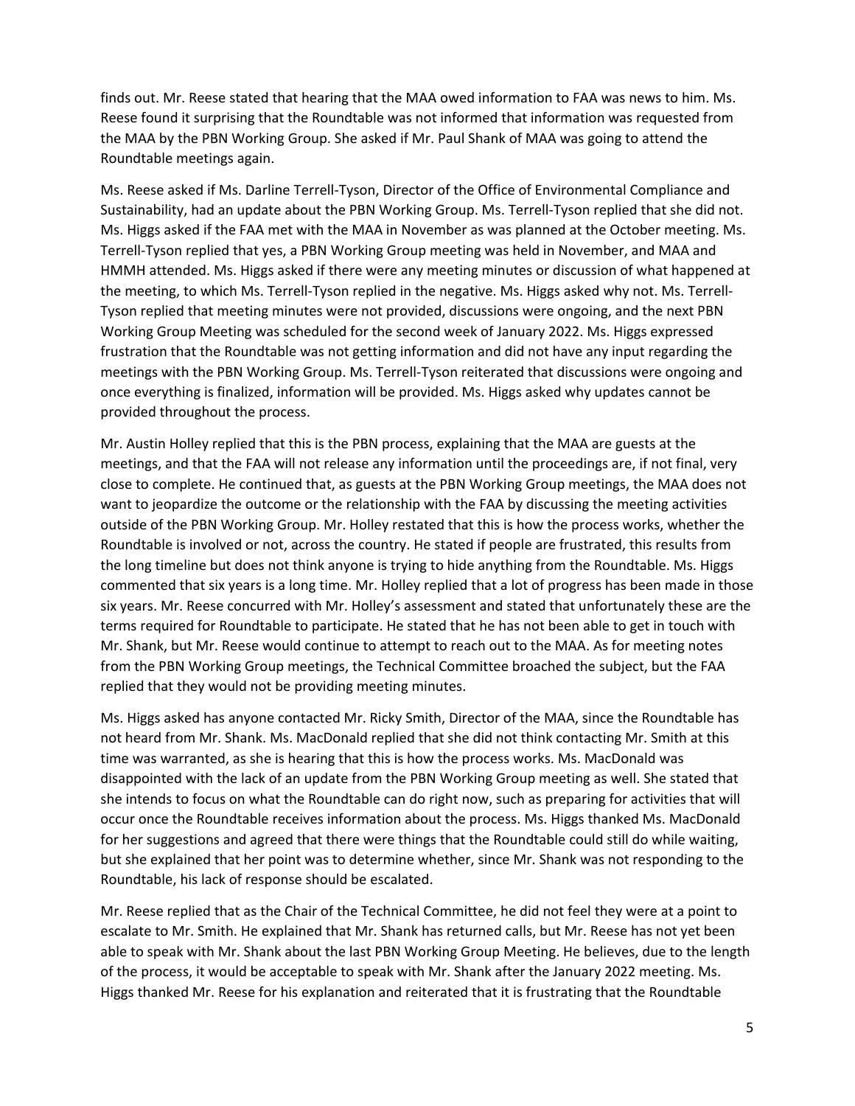finds out. Mr. Reese stated that hearing that the MAA owed information to FAA was news to him. Ms. Reese found it surprising that the Roundtable was not informed that information was requested from the MAA by the PBN Working Group. She asked if Mr. Paul Shank of MAA was going to attend the Roundtable meetings again.

Ms. Reese asked if Ms. Darline Terrell-Tyson, Director of the Office of Environmental Compliance and Sustainability, had an update about the PBN Working Group. Ms. Terrell-Tyson replied that she did not. Ms. Higgs asked if the FAA met with the MAA in November as was planned at the October meeting. Ms. Terrell-Tyson replied that yes, a PBN Working Group meeting was held in November, and MAA and HMMH attended. Ms. Higgs asked if there were any meeting minutes or discussion of what happened at the meeting, to which Ms. Terrell-Tyson replied in the negative. Ms. Higgs asked why not. Ms. Terrell-Tyson replied that meeting minutes were not provided, discussions were ongoing, and the next PBN Working Group Meeting was scheduled for the second week of January 2022. Ms. Higgs expressed frustration that the Roundtable was not getting information and did not have any input regarding the meetings with the PBN Working Group. Ms. Terrell-Tyson reiterated that discussions were ongoing and once everything is finalized, information will be provided. Ms. Higgs asked why updates cannot be provided throughout the process.

Mr. Austin Holley replied that this is the PBN process, explaining that the MAA are guests at the meetings, and that the FAA will not release any information until the proceedings are, if not final, very close to complete. He continued that, as guests at the PBN Working Group meetings, the MAA does not want to jeopardize the outcome or the relationship with the FAA by discussing the meeting activities outside of the PBN Working Group. Mr. Holley restated that this is how the process works, whether the Roundtable is involved or not, across the country. He stated if people are frustrated, this results from the long timeline but does not think anyone is trying to hide anything from the Roundtable. Ms. Higgs commented that six years is a long time. Mr. Holley replied that a lot of progress has been made in those six years. Mr. Reese concurred with Mr. Holley's assessment and stated that unfortunately these are the terms required for Roundtable to participate. He stated that he has not been able to get in touch with Mr. Shank, but Mr. Reese would continue to attempt to reach out to the MAA. As for meeting notes from the PBN Working Group meetings, the Technical Committee broached the subject, but the FAA replied that they would not be providing meeting minutes.

Ms. Higgs asked has anyone contacted Mr. Ricky Smith, Director of the MAA, since the Roundtable has not heard from Mr. Shank. Ms. MacDonald replied that she did not think contacting Mr. Smith at this time was warranted, as she is hearing that this is how the process works. Ms. MacDonald was disappointed with the lack of an update from the PBN Working Group meeting as well. She stated that she intends to focus on what the Roundtable can do right now, such as preparing for activities that will occur once the Roundtable receives information about the process. Ms. Higgs thanked Ms. MacDonald for her suggestions and agreed that there were things that the Roundtable could still do while waiting, but she explained that her point was to determine whether, since Mr. Shank was not responding to the Roundtable, his lack of response should be escalated.

Mr. Reese replied that as the Chair of the Technical Committee, he did not feel they were at a point to escalate to Mr. Smith. He explained that Mr. Shank has returned calls, but Mr. Reese has not yet been able to speak with Mr. Shank about the last PBN Working Group Meeting. He believes, due to the length of the process, it would be acceptable to speak with Mr. Shank after the January 2022 meeting. Ms. Higgs thanked Mr. Reese for his explanation and reiterated that it is frustrating that the Roundtable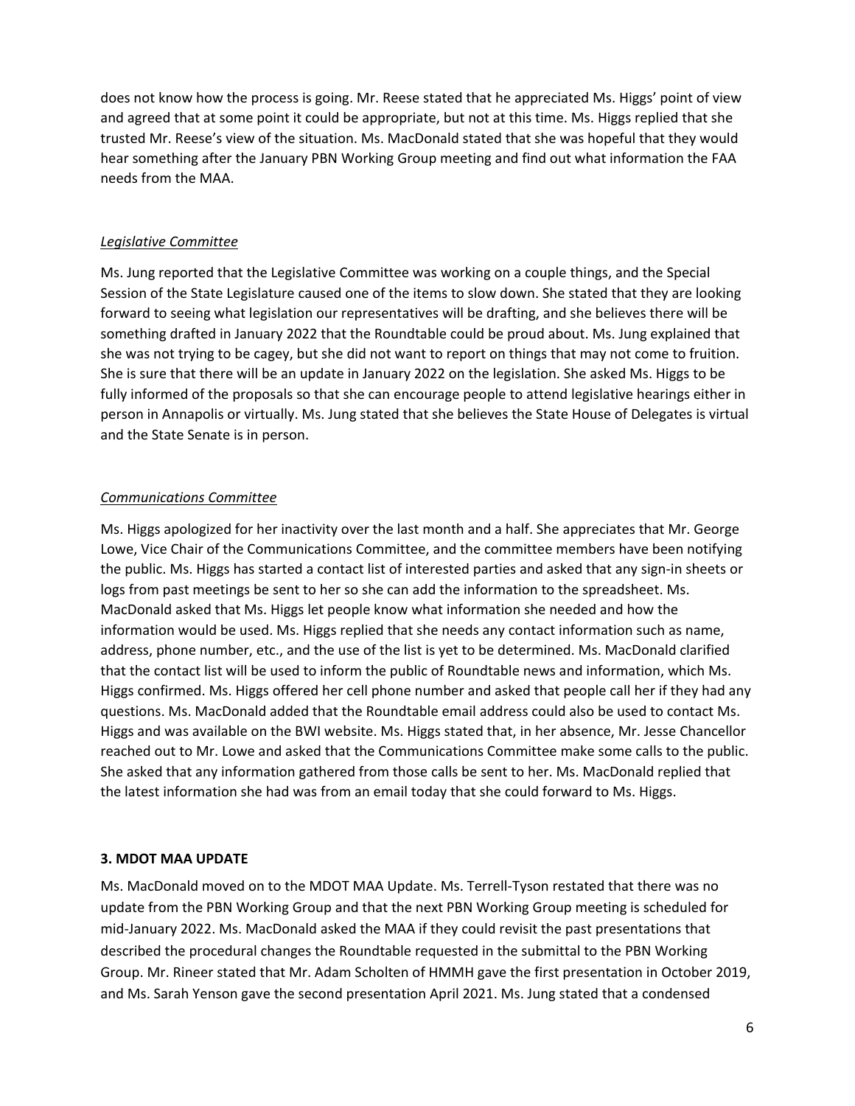does not know how the process is going. Mr. Reese stated that he appreciated Ms. Higgs' point of view and agreed that at some point it could be appropriate, but not at this time. Ms. Higgs replied that she trusted Mr. Reese's view of the situation. Ms. MacDonald stated that she was hopeful that they would hear something after the January PBN Working Group meeting and find out what information the FAA needs from the MAA.

### *Legislative Committee*

Ms. Jung reported that the Legislative Committee was working on a couple things, and the Special Session of the State Legislature caused one of the items to slow down. She stated that they are looking forward to seeing what legislation our representatives will be drafting, and she believes there will be something drafted in January 2022 that the Roundtable could be proud about. Ms. Jung explained that she was not trying to be cagey, but she did not want to report on things that may not come to fruition. She is sure that there will be an update in January 2022 on the legislation. She asked Ms. Higgs to be fully informed of the proposals so that she can encourage people to attend legislative hearings either in person in Annapolis or virtually. Ms. Jung stated that she believes the State House of Delegates is virtual and the State Senate is in person.

## *Communications Committee*

Ms. Higgs apologized for her inactivity over the last month and a half. She appreciates that Mr. George Lowe, Vice Chair of the Communications Committee, and the committee members have been notifying the public. Ms. Higgs has started a contact list of interested parties and asked that any sign-in sheets or logs from past meetings be sent to her so she can add the information to the spreadsheet. Ms. MacDonald asked that Ms. Higgs let people know what information she needed and how the information would be used. Ms. Higgs replied that she needs any contact information such as name, address, phone number, etc., and the use of the list is yet to be determined. Ms. MacDonald clarified that the contact list will be used to inform the public of Roundtable news and information, which Ms. Higgs confirmed. Ms. Higgs offered her cell phone number and asked that people call her if they had any questions. Ms. MacDonald added that the Roundtable email address could also be used to contact Ms. Higgs and was available on the BWI website. Ms. Higgs stated that, in her absence, Mr. Jesse Chancellor reached out to Mr. Lowe and asked that the Communications Committee make some calls to the public. She asked that any information gathered from those calls be sent to her. Ms. MacDonald replied that the latest information she had was from an email today that she could forward to Ms. Higgs.

#### **3. MDOT MAA UPDATE**

Ms. MacDonald moved on to the MDOT MAA Update. Ms. Terrell-Tyson restated that there was no update from the PBN Working Group and that the next PBN Working Group meeting is scheduled for mid-January 2022. Ms. MacDonald asked the MAA if they could revisit the past presentations that described the procedural changes the Roundtable requested in the submittal to the PBN Working Group. Mr. Rineer stated that Mr. Adam Scholten of HMMH gave the first presentation in October 2019, and Ms. Sarah Yenson gave the second presentation April 2021. Ms. Jung stated that a condensed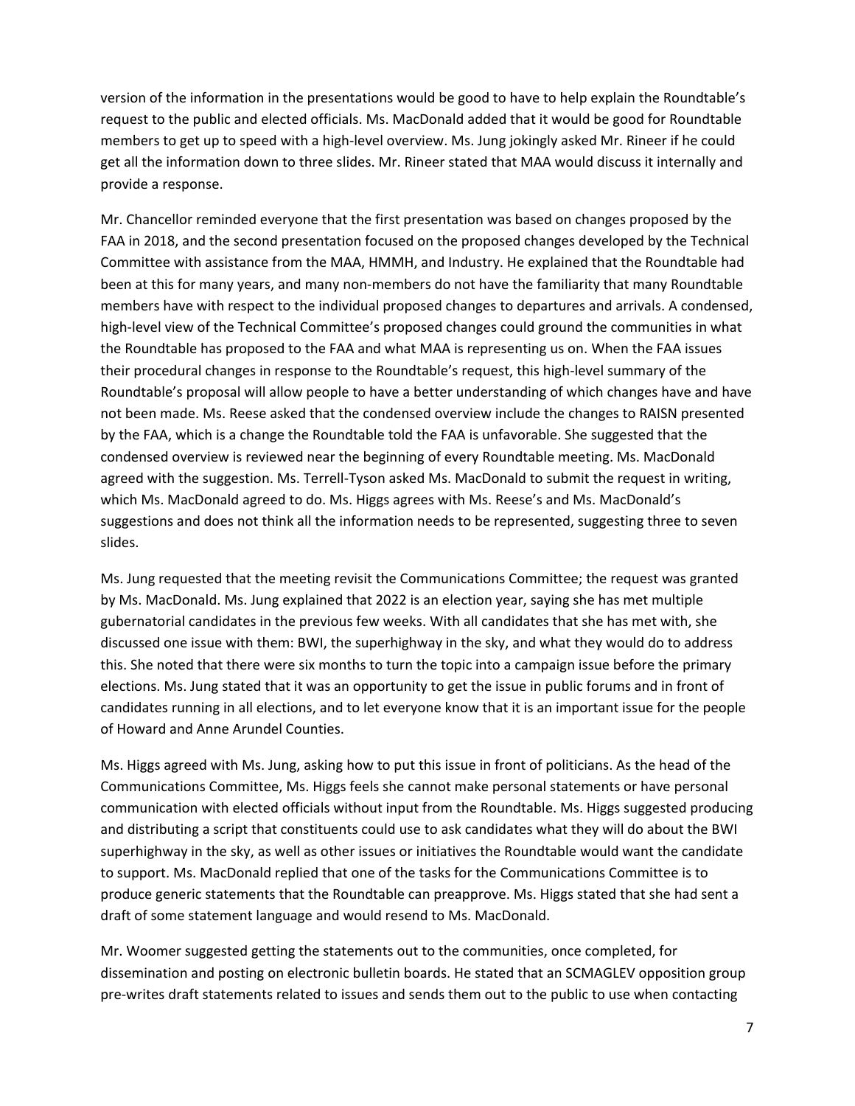version of the information in the presentations would be good to have to help explain the Roundtable's request to the public and elected officials. Ms. MacDonald added that it would be good for Roundtable members to get up to speed with a high-level overview. Ms. Jung jokingly asked Mr. Rineer if he could get all the information down to three slides. Mr. Rineer stated that MAA would discuss it internally and provide a response.

Mr. Chancellor reminded everyone that the first presentation was based on changes proposed by the FAA in 2018, and the second presentation focused on the proposed changes developed by the Technical Committee with assistance from the MAA, HMMH, and Industry. He explained that the Roundtable had been at this for many years, and many non-members do not have the familiarity that many Roundtable members have with respect to the individual proposed changes to departures and arrivals. A condensed, high-level view of the Technical Committee's proposed changes could ground the communities in what the Roundtable has proposed to the FAA and what MAA is representing us on. When the FAA issues their procedural changes in response to the Roundtable's request, this high-level summary of the Roundtable's proposal will allow people to have a better understanding of which changes have and have not been made. Ms. Reese asked that the condensed overview include the changes to RAISN presented by the FAA, which is a change the Roundtable told the FAA is unfavorable. She suggested that the condensed overview is reviewed near the beginning of every Roundtable meeting. Ms. MacDonald agreed with the suggestion. Ms. Terrell-Tyson asked Ms. MacDonald to submit the request in writing, which Ms. MacDonald agreed to do. Ms. Higgs agrees with Ms. Reese's and Ms. MacDonald's suggestions and does not think all the information needs to be represented, suggesting three to seven slides.

Ms. Jung requested that the meeting revisit the Communications Committee; the request was granted by Ms. MacDonald. Ms. Jung explained that 2022 is an election year, saying she has met multiple gubernatorial candidates in the previous few weeks. With all candidates that she has met with, she discussed one issue with them: BWI, the superhighway in the sky, and what they would do to address this. She noted that there were six months to turn the topic into a campaign issue before the primary elections. Ms. Jung stated that it was an opportunity to get the issue in public forums and in front of candidates running in all elections, and to let everyone know that it is an important issue for the people of Howard and Anne Arundel Counties.

Ms. Higgs agreed with Ms. Jung, asking how to put this issue in front of politicians. As the head of the Communications Committee, Ms. Higgs feels she cannot make personal statements or have personal communication with elected officials without input from the Roundtable. Ms. Higgs suggested producing and distributing a script that constituents could use to ask candidates what they will do about the BWI superhighway in the sky, as well as other issues or initiatives the Roundtable would want the candidate to support. Ms. MacDonald replied that one of the tasks for the Communications Committee is to produce generic statements that the Roundtable can preapprove. Ms. Higgs stated that she had sent a draft of some statement language and would resend to Ms. MacDonald.

Mr. Woomer suggested getting the statements out to the communities, once completed, for dissemination and posting on electronic bulletin boards. He stated that an SCMAGLEV opposition group pre-writes draft statements related to issues and sends them out to the public to use when contacting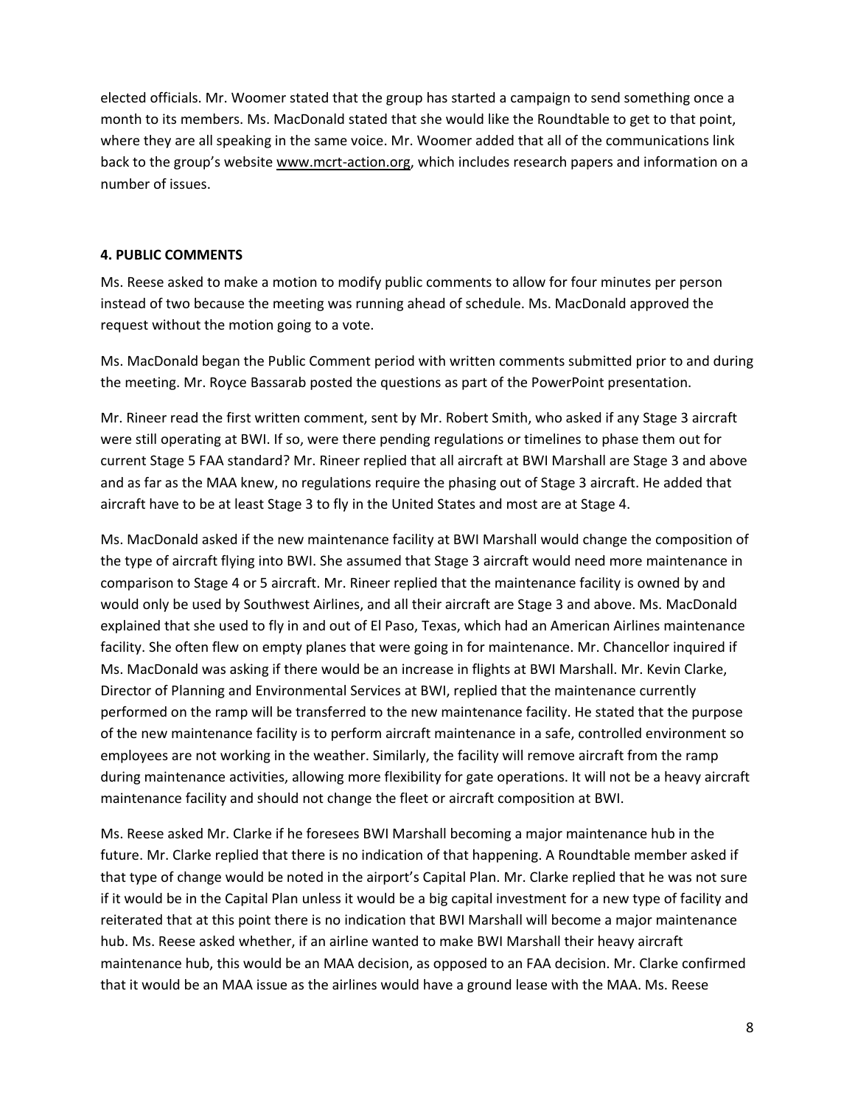elected officials. Mr. Woomer stated that the group has started a campaign to send something once a month to its members. Ms. MacDonald stated that she would like the Roundtable to get to that point, where they are all speaking in the same voice. Mr. Woomer added that all of the communications link back to the group's website [www.mcrt-action.org,](http://www.mcrt-action.org/) which includes research papers and information on a number of issues.

### **4. PUBLIC COMMENTS**

Ms. Reese asked to make a motion to modify public comments to allow for four minutes per person instead of two because the meeting was running ahead of schedule. Ms. MacDonald approved the request without the motion going to a vote.

Ms. MacDonald began the Public Comment period with written comments submitted prior to and during the meeting. Mr. Royce Bassarab posted the questions as part of the PowerPoint presentation.

Mr. Rineer read the first written comment, sent by Mr. Robert Smith, who asked if any Stage 3 aircraft were still operating at BWI. If so, were there pending regulations or timelines to phase them out for current Stage 5 FAA standard? Mr. Rineer replied that all aircraft at BWI Marshall are Stage 3 and above and as far as the MAA knew, no regulations require the phasing out of Stage 3 aircraft. He added that aircraft have to be at least Stage 3 to fly in the United States and most are at Stage 4.

Ms. MacDonald asked if the new maintenance facility at BWI Marshall would change the composition of the type of aircraft flying into BWI. She assumed that Stage 3 aircraft would need more maintenance in comparison to Stage 4 or 5 aircraft. Mr. Rineer replied that the maintenance facility is owned by and would only be used by Southwest Airlines, and all their aircraft are Stage 3 and above. Ms. MacDonald explained that she used to fly in and out of El Paso, Texas, which had an American Airlines maintenance facility. She often flew on empty planes that were going in for maintenance. Mr. Chancellor inquired if Ms. MacDonald was asking if there would be an increase in flights at BWI Marshall. Mr. Kevin Clarke, Director of Planning and Environmental Services at BWI, replied that the maintenance currently performed on the ramp will be transferred to the new maintenance facility. He stated that the purpose of the new maintenance facility is to perform aircraft maintenance in a safe, controlled environment so employees are not working in the weather. Similarly, the facility will remove aircraft from the ramp during maintenance activities, allowing more flexibility for gate operations. It will not be a heavy aircraft maintenance facility and should not change the fleet or aircraft composition at BWI.

Ms. Reese asked Mr. Clarke if he foresees BWI Marshall becoming a major maintenance hub in the future. Mr. Clarke replied that there is no indication of that happening. A Roundtable member asked if that type of change would be noted in the airport's Capital Plan. Mr. Clarke replied that he was not sure if it would be in the Capital Plan unless it would be a big capital investment for a new type of facility and reiterated that at this point there is no indication that BWI Marshall will become a major maintenance hub. Ms. Reese asked whether, if an airline wanted to make BWI Marshall their heavy aircraft maintenance hub, this would be an MAA decision, as opposed to an FAA decision. Mr. Clarke confirmed that it would be an MAA issue as the airlines would have a ground lease with the MAA. Ms. Reese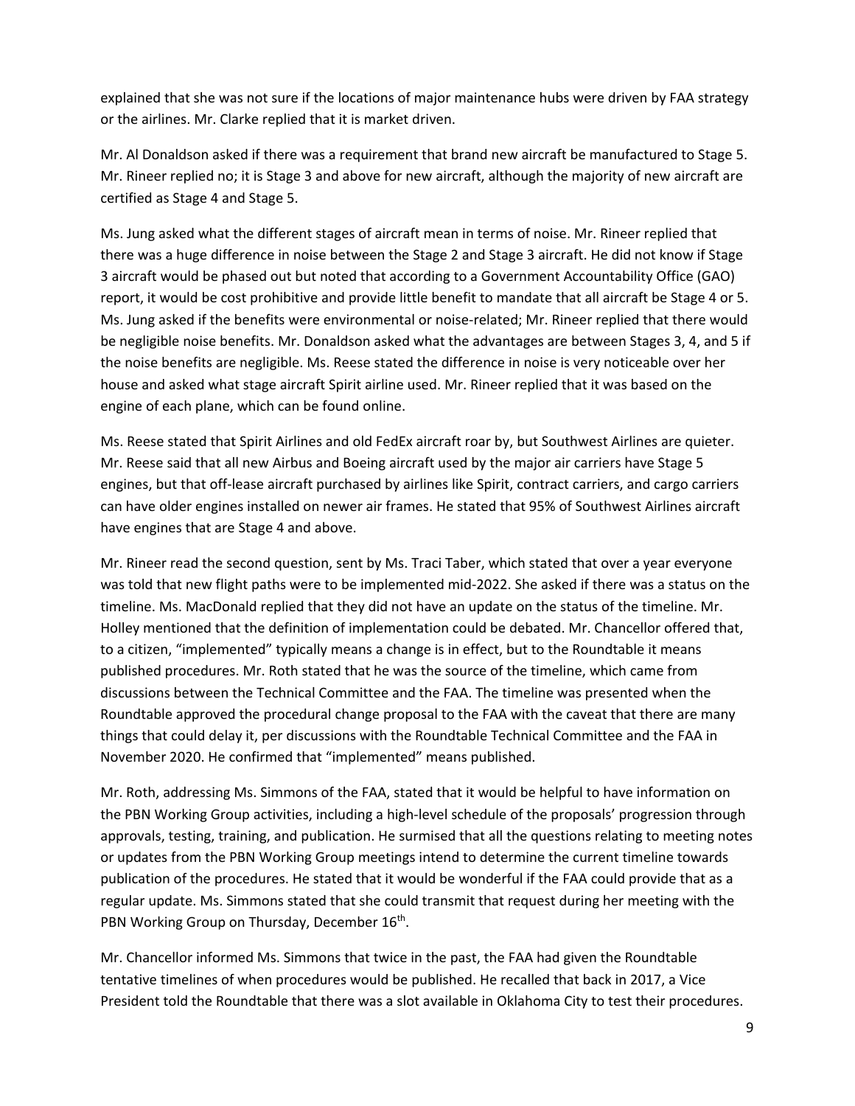explained that she was not sure if the locations of major maintenance hubs were driven by FAA strategy or the airlines. Mr. Clarke replied that it is market driven.

Mr. Al Donaldson asked if there was a requirement that brand new aircraft be manufactured to Stage 5. Mr. Rineer replied no; it is Stage 3 and above for new aircraft, although the majority of new aircraft are certified as Stage 4 and Stage 5.

Ms. Jung asked what the different stages of aircraft mean in terms of noise. Mr. Rineer replied that there was a huge difference in noise between the Stage 2 and Stage 3 aircraft. He did not know if Stage 3 aircraft would be phased out but noted that according to a Government Accountability Office (GAO) report, it would be cost prohibitive and provide little benefit to mandate that all aircraft be Stage 4 or 5. Ms. Jung asked if the benefits were environmental or noise-related; Mr. Rineer replied that there would be negligible noise benefits. Mr. Donaldson asked what the advantages are between Stages 3, 4, and 5 if the noise benefits are negligible. Ms. Reese stated the difference in noise is very noticeable over her house and asked what stage aircraft Spirit airline used. Mr. Rineer replied that it was based on the engine of each plane, which can be found online.

Ms. Reese stated that Spirit Airlines and old FedEx aircraft roar by, but Southwest Airlines are quieter. Mr. Reese said that all new Airbus and Boeing aircraft used by the major air carriers have Stage 5 engines, but that off-lease aircraft purchased by airlines like Spirit, contract carriers, and cargo carriers can have older engines installed on newer air frames. He stated that 95% of Southwest Airlines aircraft have engines that are Stage 4 and above.

Mr. Rineer read the second question, sent by Ms. Traci Taber, which stated that over a year everyone was told that new flight paths were to be implemented mid-2022. She asked if there was a status on the timeline. Ms. MacDonald replied that they did not have an update on the status of the timeline. Mr. Holley mentioned that the definition of implementation could be debated. Mr. Chancellor offered that, to a citizen, "implemented" typically means a change is in effect, but to the Roundtable it means published procedures. Mr. Roth stated that he was the source of the timeline, which came from discussions between the Technical Committee and the FAA. The timeline was presented when the Roundtable approved the procedural change proposal to the FAA with the caveat that there are many things that could delay it, per discussions with the Roundtable Technical Committee and the FAA in November 2020. He confirmed that "implemented" means published.

Mr. Roth, addressing Ms. Simmons of the FAA, stated that it would be helpful to have information on the PBN Working Group activities, including a high-level schedule of the proposals' progression through approvals, testing, training, and publication. He surmised that all the questions relating to meeting notes or updates from the PBN Working Group meetings intend to determine the current timeline towards publication of the procedures. He stated that it would be wonderful if the FAA could provide that as a regular update. Ms. Simmons stated that she could transmit that request during her meeting with the PBN Working Group on Thursday, December 16<sup>th</sup>.

Mr. Chancellor informed Ms. Simmons that twice in the past, the FAA had given the Roundtable tentative timelines of when procedures would be published. He recalled that back in 2017, a Vice President told the Roundtable that there was a slot available in Oklahoma City to test their procedures.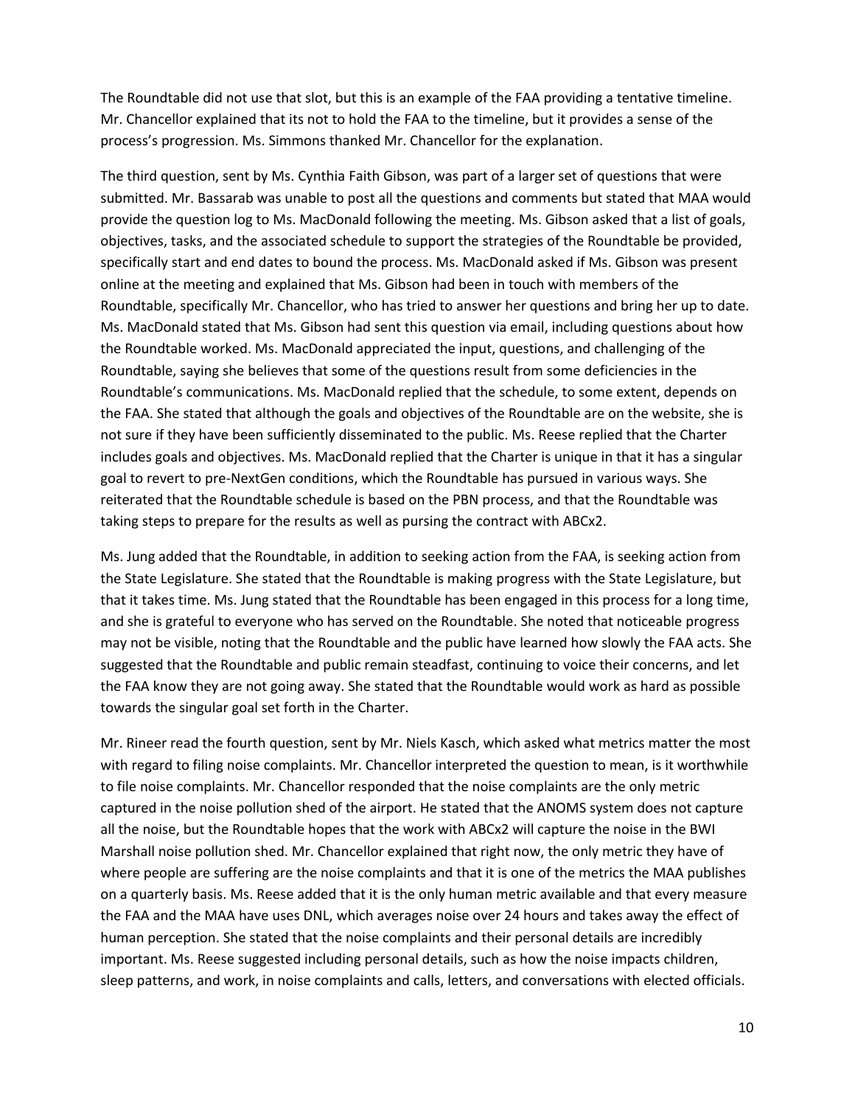The Roundtable did not use that slot, but this is an example of the FAA providing a tentative timeline. Mr. Chancellor explained that its not to hold the FAA to the timeline, but it provides a sense of the process's progression. Ms. Simmons thanked Mr. Chancellor for the explanation.

The third question, sent by Ms. Cynthia Faith Gibson, was part of a larger set of questions that were submitted. Mr. Bassarab was unable to post all the questions and comments but stated that MAA would provide the question log to Ms. MacDonald following the meeting. Ms. Gibson asked that a list of goals, objectives, tasks, and the associated schedule to support the strategies of the Roundtable be provided, specifically start and end dates to bound the process. Ms. MacDonald asked if Ms. Gibson was present online at the meeting and explained that Ms. Gibson had been in touch with members of the Roundtable, specifically Mr. Chancellor, who has tried to answer her questions and bring her up to date. Ms. MacDonald stated that Ms. Gibson had sent this question via email, including questions about how the Roundtable worked. Ms. MacDonald appreciated the input, questions, and challenging of the Roundtable, saying she believes that some of the questions result from some deficiencies in the Roundtable's communications. Ms. MacDonald replied that the schedule, to some extent, depends on the FAA. She stated that although the goals and objectives of the Roundtable are on the website, she is not sure if they have been sufficiently disseminated to the public. Ms. Reese replied that the Charter includes goals and objectives. Ms. MacDonald replied that the Charter is unique in that it has a singular goal to revert to pre-NextGen conditions, which the Roundtable has pursued in various ways. She reiterated that the Roundtable schedule is based on the PBN process, and that the Roundtable was taking steps to prepare for the results as well as pursing the contract with ABCx2.

Ms. Jung added that the Roundtable, in addition to seeking action from the FAA, is seeking action from the State Legislature. She stated that the Roundtable is making progress with the State Legislature, but that it takes time. Ms. Jung stated that the Roundtable has been engaged in this process for a long time, and she is grateful to everyone who has served on the Roundtable. She noted that noticeable progress may not be visible, noting that the Roundtable and the public have learned how slowly the FAA acts. She suggested that the Roundtable and public remain steadfast, continuing to voice their concerns, and let the FAA know they are not going away. She stated that the Roundtable would work as hard as possible towards the singular goal set forth in the Charter.

Mr. Rineer read the fourth question, sent by Mr. Niels Kasch, which asked what metrics matter the most with regard to filing noise complaints. Mr. Chancellor interpreted the question to mean, is it worthwhile to file noise complaints. Mr. Chancellor responded that the noise complaints are the only metric captured in the noise pollution shed of the airport. He stated that the ANOMS system does not capture all the noise, but the Roundtable hopes that the work with ABCx2 will capture the noise in the BWI Marshall noise pollution shed. Mr. Chancellor explained that right now, the only metric they have of where people are suffering are the noise complaints and that it is one of the metrics the MAA publishes on a quarterly basis. Ms. Reese added that it is the only human metric available and that every measure the FAA and the MAA have uses DNL, which averages noise over 24 hours and takes away the effect of human perception. She stated that the noise complaints and their personal details are incredibly important. Ms. Reese suggested including personal details, such as how the noise impacts children, sleep patterns, and work, in noise complaints and calls, letters, and conversations with elected officials.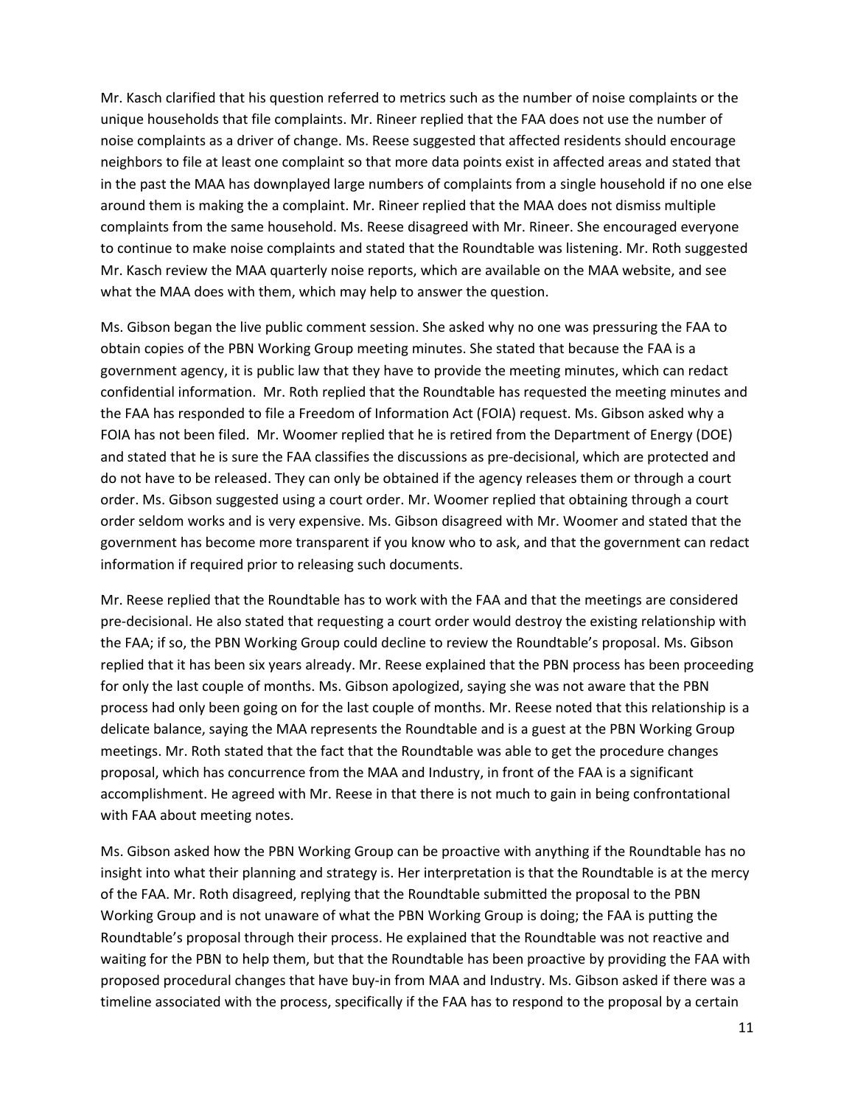Mr. Kasch clarified that his question referred to metrics such as the number of noise complaints or the unique households that file complaints. Mr. Rineer replied that the FAA does not use the number of noise complaints as a driver of change. Ms. Reese suggested that affected residents should encourage neighbors to file at least one complaint so that more data points exist in affected areas and stated that in the past the MAA has downplayed large numbers of complaints from a single household if no one else around them is making the a complaint. Mr. Rineer replied that the MAA does not dismiss multiple complaints from the same household. Ms. Reese disagreed with Mr. Rineer. She encouraged everyone to continue to make noise complaints and stated that the Roundtable was listening. Mr. Roth suggested Mr. Kasch review the MAA quarterly noise reports, which are available on the MAA website, and see what the MAA does with them, which may help to answer the question.

Ms. Gibson began the live public comment session. She asked why no one was pressuring the FAA to obtain copies of the PBN Working Group meeting minutes. She stated that because the FAA is a government agency, it is public law that they have to provide the meeting minutes, which can redact confidential information. Mr. Roth replied that the Roundtable has requested the meeting minutes and the FAA has responded to file a Freedom of Information Act (FOIA) request. Ms. Gibson asked why a FOIA has not been filed. Mr. Woomer replied that he is retired from the Department of Energy (DOE) and stated that he is sure the FAA classifies the discussions as pre-decisional, which are protected and do not have to be released. They can only be obtained if the agency releases them or through a court order. Ms. Gibson suggested using a court order. Mr. Woomer replied that obtaining through a court order seldom works and is very expensive. Ms. Gibson disagreed with Mr. Woomer and stated that the government has become more transparent if you know who to ask, and that the government can redact information if required prior to releasing such documents.

Mr. Reese replied that the Roundtable has to work with the FAA and that the meetings are considered pre-decisional. He also stated that requesting a court order would destroy the existing relationship with the FAA; if so, the PBN Working Group could decline to review the Roundtable's proposal. Ms. Gibson replied that it has been six years already. Mr. Reese explained that the PBN process has been proceeding for only the last couple of months. Ms. Gibson apologized, saying she was not aware that the PBN process had only been going on for the last couple of months. Mr. Reese noted that this relationship is a delicate balance, saying the MAA represents the Roundtable and is a guest at the PBN Working Group meetings. Mr. Roth stated that the fact that the Roundtable was able to get the procedure changes proposal, which has concurrence from the MAA and Industry, in front of the FAA is a significant accomplishment. He agreed with Mr. Reese in that there is not much to gain in being confrontational with FAA about meeting notes.

Ms. Gibson asked how the PBN Working Group can be proactive with anything if the Roundtable has no insight into what their planning and strategy is. Her interpretation is that the Roundtable is at the mercy of the FAA. Mr. Roth disagreed, replying that the Roundtable submitted the proposal to the PBN Working Group and is not unaware of what the PBN Working Group is doing; the FAA is putting the Roundtable's proposal through their process. He explained that the Roundtable was not reactive and waiting for the PBN to help them, but that the Roundtable has been proactive by providing the FAA with proposed procedural changes that have buy-in from MAA and Industry. Ms. Gibson asked if there was a timeline associated with the process, specifically if the FAA has to respond to the proposal by a certain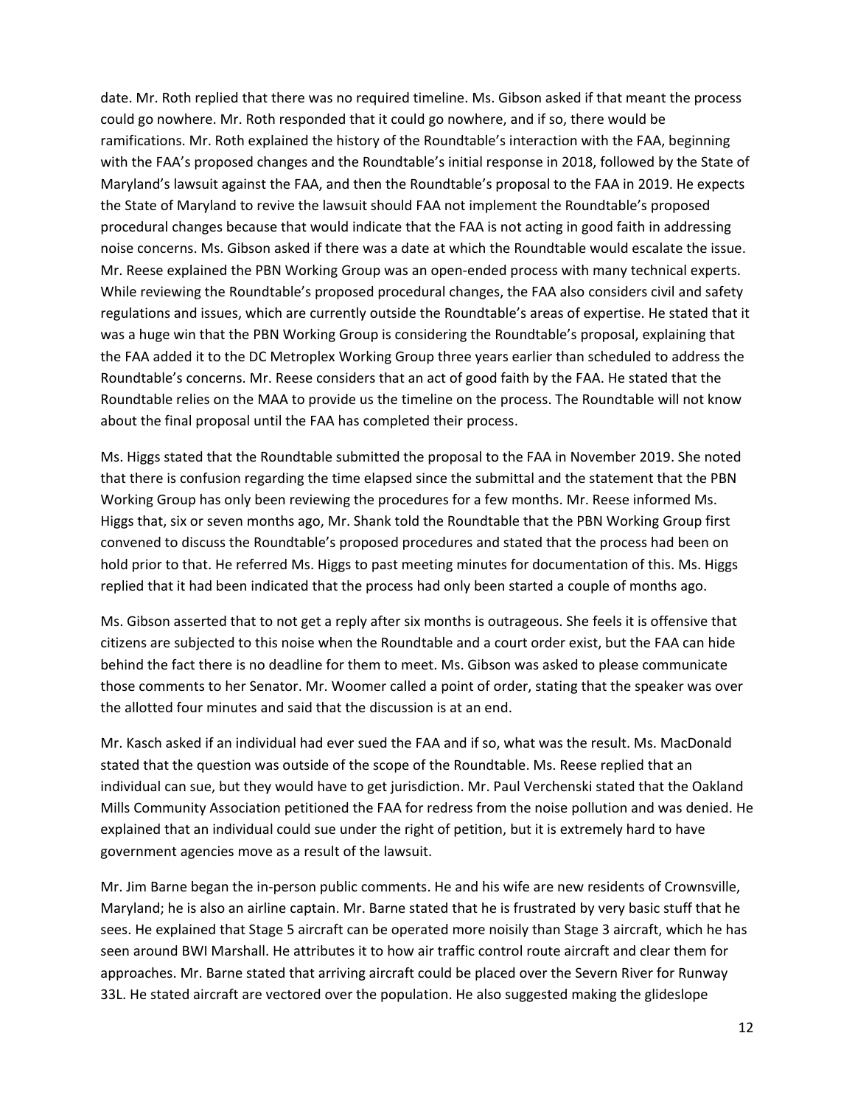date. Mr. Roth replied that there was no required timeline. Ms. Gibson asked if that meant the process could go nowhere. Mr. Roth responded that it could go nowhere, and if so, there would be ramifications. Mr. Roth explained the history of the Roundtable's interaction with the FAA, beginning with the FAA's proposed changes and the Roundtable's initial response in 2018, followed by the State of Maryland's lawsuit against the FAA, and then the Roundtable's proposal to the FAA in 2019. He expects the State of Maryland to revive the lawsuit should FAA not implement the Roundtable's proposed procedural changes because that would indicate that the FAA is not acting in good faith in addressing noise concerns. Ms. Gibson asked if there was a date at which the Roundtable would escalate the issue. Mr. Reese explained the PBN Working Group was an open-ended process with many technical experts. While reviewing the Roundtable's proposed procedural changes, the FAA also considers civil and safety regulations and issues, which are currently outside the Roundtable's areas of expertise. He stated that it was a huge win that the PBN Working Group is considering the Roundtable's proposal, explaining that the FAA added it to the DC Metroplex Working Group three years earlier than scheduled to address the Roundtable's concerns. Mr. Reese considers that an act of good faith by the FAA. He stated that the Roundtable relies on the MAA to provide us the timeline on the process. The Roundtable will not know about the final proposal until the FAA has completed their process.

Ms. Higgs stated that the Roundtable submitted the proposal to the FAA in November 2019. She noted that there is confusion regarding the time elapsed since the submittal and the statement that the PBN Working Group has only been reviewing the procedures for a few months. Mr. Reese informed Ms. Higgs that, six or seven months ago, Mr. Shank told the Roundtable that the PBN Working Group first convened to discuss the Roundtable's proposed procedures and stated that the process had been on hold prior to that. He referred Ms. Higgs to past meeting minutes for documentation of this. Ms. Higgs replied that it had been indicated that the process had only been started a couple of months ago.

Ms. Gibson asserted that to not get a reply after six months is outrageous. She feels it is offensive that citizens are subjected to this noise when the Roundtable and a court order exist, but the FAA can hide behind the fact there is no deadline for them to meet. Ms. Gibson was asked to please communicate those comments to her Senator. Mr. Woomer called a point of order, stating that the speaker was over the allotted four minutes and said that the discussion is at an end.

Mr. Kasch asked if an individual had ever sued the FAA and if so, what was the result. Ms. MacDonald stated that the question was outside of the scope of the Roundtable. Ms. Reese replied that an individual can sue, but they would have to get jurisdiction. Mr. Paul Verchenski stated that the Oakland Mills Community Association petitioned the FAA for redress from the noise pollution and was denied. He explained that an individual could sue under the right of petition, but it is extremely hard to have government agencies move as a result of the lawsuit.

Mr. Jim Barne began the in-person public comments. He and his wife are new residents of Crownsville, Maryland; he is also an airline captain. Mr. Barne stated that he is frustrated by very basic stuff that he sees. He explained that Stage 5 aircraft can be operated more noisily than Stage 3 aircraft, which he has seen around BWI Marshall. He attributes it to how air traffic control route aircraft and clear them for approaches. Mr. Barne stated that arriving aircraft could be placed over the Severn River for Runway 33L. He stated aircraft are vectored over the population. He also suggested making the glideslope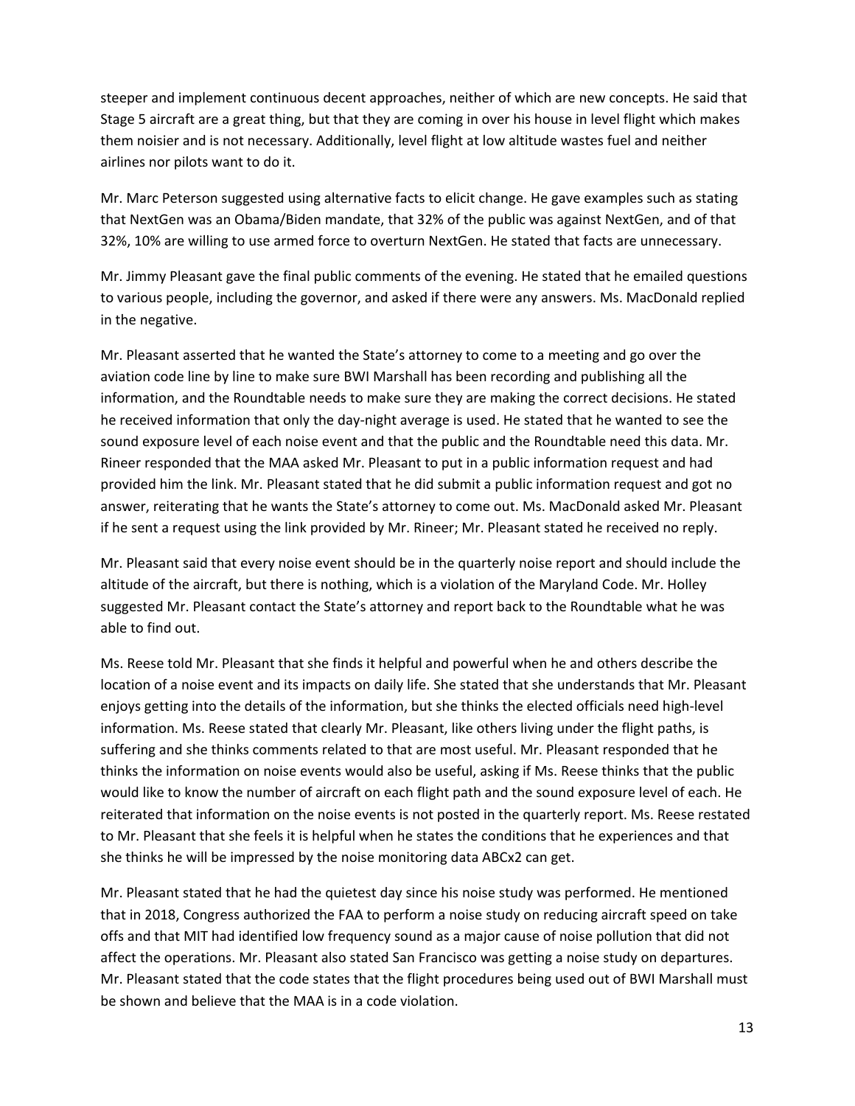steeper and implement continuous decent approaches, neither of which are new concepts. He said that Stage 5 aircraft are a great thing, but that they are coming in over his house in level flight which makes them noisier and is not necessary. Additionally, level flight at low altitude wastes fuel and neither airlines nor pilots want to do it.

Mr. Marc Peterson suggested using alternative facts to elicit change. He gave examples such as stating that NextGen was an Obama/Biden mandate, that 32% of the public was against NextGen, and of that 32%, 10% are willing to use armed force to overturn NextGen. He stated that facts are unnecessary.

Mr. Jimmy Pleasant gave the final public comments of the evening. He stated that he emailed questions to various people, including the governor, and asked if there were any answers. Ms. MacDonald replied in the negative.

Mr. Pleasant asserted that he wanted the State's attorney to come to a meeting and go over the aviation code line by line to make sure BWI Marshall has been recording and publishing all the information, and the Roundtable needs to make sure they are making the correct decisions. He stated he received information that only the day-night average is used. He stated that he wanted to see the sound exposure level of each noise event and that the public and the Roundtable need this data. Mr. Rineer responded that the MAA asked Mr. Pleasant to put in a public information request and had provided him the link. Mr. Pleasant stated that he did submit a public information request and got no answer, reiterating that he wants the State's attorney to come out. Ms. MacDonald asked Mr. Pleasant if he sent a request using the link provided by Mr. Rineer; Mr. Pleasant stated he received no reply.

Mr. Pleasant said that every noise event should be in the quarterly noise report and should include the altitude of the aircraft, but there is nothing, which is a violation of the Maryland Code. Mr. Holley suggested Mr. Pleasant contact the State's attorney and report back to the Roundtable what he was able to find out.

Ms. Reese told Mr. Pleasant that she finds it helpful and powerful when he and others describe the location of a noise event and its impacts on daily life. She stated that she understands that Mr. Pleasant enjoys getting into the details of the information, but she thinks the elected officials need high-level information. Ms. Reese stated that clearly Mr. Pleasant, like others living under the flight paths, is suffering and she thinks comments related to that are most useful. Mr. Pleasant responded that he thinks the information on noise events would also be useful, asking if Ms. Reese thinks that the public would like to know the number of aircraft on each flight path and the sound exposure level of each. He reiterated that information on the noise events is not posted in the quarterly report. Ms. Reese restated to Mr. Pleasant that she feels it is helpful when he states the conditions that he experiences and that she thinks he will be impressed by the noise monitoring data ABCx2 can get.

Mr. Pleasant stated that he had the quietest day since his noise study was performed. He mentioned that in 2018, Congress authorized the FAA to perform a noise study on reducing aircraft speed on take offs and that MIT had identified low frequency sound as a major cause of noise pollution that did not affect the operations. Mr. Pleasant also stated San Francisco was getting a noise study on departures. Mr. Pleasant stated that the code states that the flight procedures being used out of BWI Marshall must be shown and believe that the MAA is in a code violation.